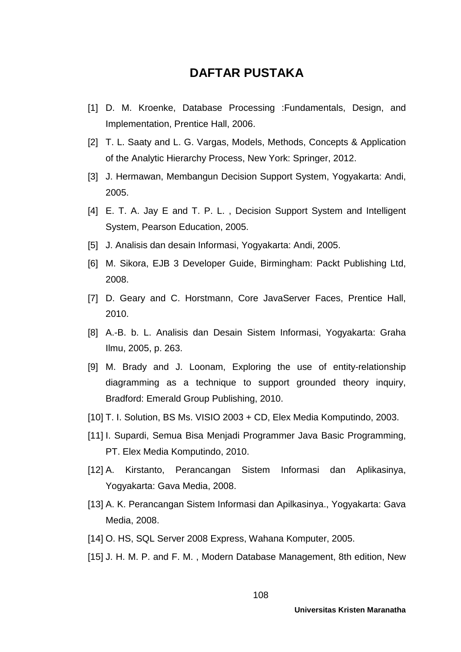## **DAFTAR PUSTAKA**

- [1] D. M. Kroenke, Database Processing :Fundamentals, Design, and Implementation, Prentice Hall, 2006.
- [2] T. L. Saaty and L. G. Vargas, Models, Methods, Concepts & Application of the Analytic Hierarchy Process, New York: Springer, 2012.
- [3] J. Hermawan, Membangun Decision Support System, Yogyakarta: Andi, 2005.
- [4] E. T. A. Jay E and T. P. L., Decision Support System and Intelligent System, Pearson Education, 2005.
- [5] J. Analisis dan desain Informasi, Yogyakarta: Andi, 2005.
- [6] M. Sikora, EJB 3 Developer Guide, Birmingham: Packt Publishing Ltd, 2008.
- [7] D. Geary and C. Horstmann, Core JavaServer Faces, Prentice Hall, 2010.
- [8] A.-B. b. L. Analisis dan Desain Sistem Informasi, Yogyakarta: Graha Ilmu, 2005, p. 263.
- [9] M. Brady and J. Loonam, Exploring the use of entity-relationship diagramming as a technique to support grounded theory inquiry, Bradford: Emerald Group Publishing, 2010.
- [10] T. I. Solution, BS Ms. VISIO 2003 + CD, Elex Media Komputindo, 2003.
- [11] I. Supardi, Semua Bisa Menjadi Programmer Java Basic Programming, PT. Elex Media Komputindo, 2010.
- [12] A. Kirstanto, Perancangan Sistem Informasi dan Aplikasinya, Yogyakarta: Gava Media, 2008.
- [13] A. K. Perancangan Sistem Informasi dan Apilkasinya., Yogyakarta: Gava Media, 2008.
- [14] O. HS, SQL Server 2008 Express, Wahana Komputer, 2005.
- [15] J. H. M. P. and F. M. , Modern Database Management, 8th edition, New